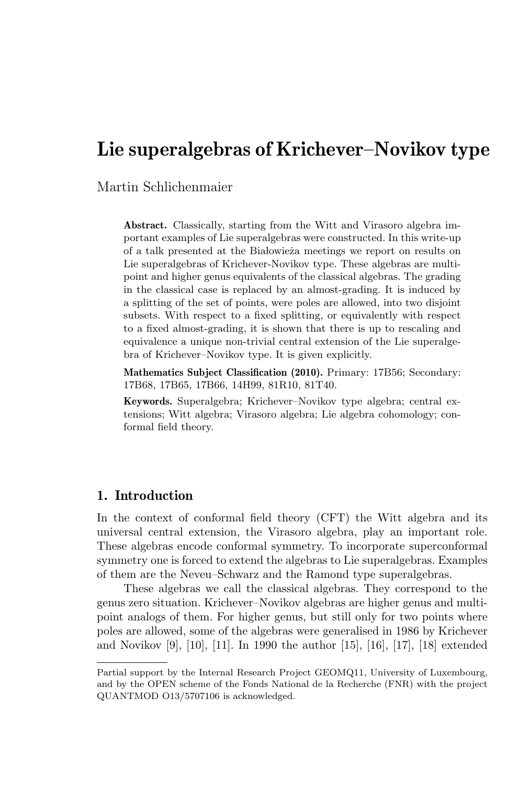# Lie superalgebras of Krichever–Novikov type

Martin Schlichenmaier

Abstract. Classically, starting from the Witt and Virasoro algebra important examples of Lie superalgebras were constructed. In this write-up of a talk presented at the Białowieża meetings we report on results on Lie superalgebras of Krichever-Novikov type. These algebras are multipoint and higher genus equivalents of the classical algebras. The grading in the classical case is replaced by an almost-grading. It is induced by a splitting of the set of points, were poles are allowed, into two disjoint subsets. With respect to a fixed splitting, or equivalently with respect to a fixed almost-grading, it is shown that there is up to rescaling and equivalence a unique non-trivial central extension of the Lie superalgebra of Krichever–Novikov type. It is given explicitly.

Mathematics Subject Classification (2010). Primary: 17B56; Secondary: 17B68, 17B65, 17B66, 14H99, 81R10, 81T40.

Keywords. Superalgebra; Krichever–Novikov type algebra; central extensions; Witt algebra; Virasoro algebra; Lie algebra cohomology; conformal field theory.

# 1. Introduction

In the context of conformal field theory (CFT) the Witt algebra and its universal central extension, the Virasoro algebra, play an important role. These algebras encode conformal symmetry. To incorporate superconformal symmetry one is forced to extend the algebras to Lie superalgebras. Examples of them are the Neveu–Schwarz and the Ramond type superalgebras.

These algebras we call the classical algebras. They correspond to the genus zero situation. Krichever–Novikov algebras are higher genus and multipoint analogs of them. For higher genus, but still only for two points where poles are allowed, some of the algebras were generalised in 1986 by Krichever and Novikov [9], [10], [11]. In 1990 the author [15], [16], [17], [18] extended

Partial support by the Internal Research Project GEOMQ11, University of Luxembourg, and by the OPEN scheme of the Fonds National de la Recherche (FNR) with the project QUANTMOD O13/5707106 is acknowledged.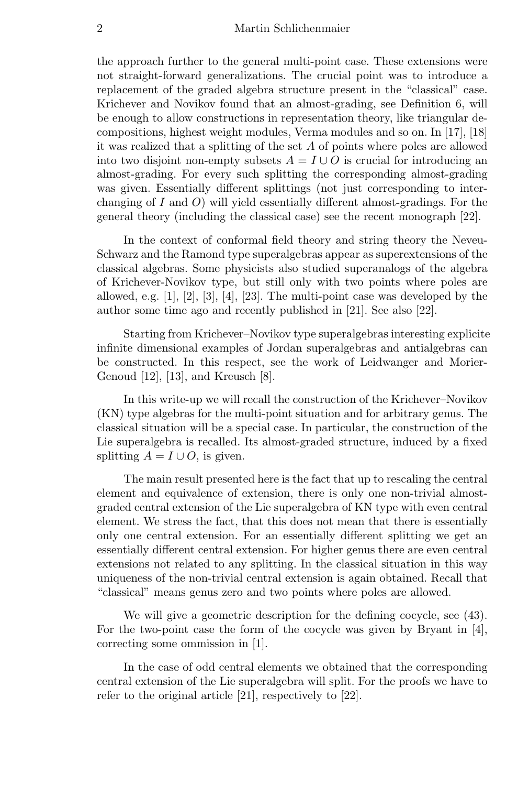## 2 Martin Schlichenmaier

the approach further to the general multi-point case. These extensions were not straight-forward generalizations. The crucial point was to introduce a replacement of the graded algebra structure present in the "classical" case. Krichever and Novikov found that an almost-grading, see Definition 6, will be enough to allow constructions in representation theory, like triangular decompositions, highest weight modules, Verma modules and so on. In [17], [18] it was realized that a splitting of the set A of points where poles are allowed into two disjoint non-empty subsets  $A = I \cup O$  is crucial for introducing an almost-grading. For every such splitting the corresponding almost-grading was given. Essentially different splittings (not just corresponding to interchanging of I and  $O$ ) will yield essentially different almost-gradings. For the general theory (including the classical case) see the recent monograph [22].

In the context of conformal field theory and string theory the Neveu-Schwarz and the Ramond type superalgebras appear as superextensions of the classical algebras. Some physicists also studied superanalogs of the algebra of Krichever-Novikov type, but still only with two points where poles are allowed, e.g. [1], [2], [3], [4], [23]. The multi-point case was developed by the author some time ago and recently published in [21]. See also [22].

Starting from Krichever–Novikov type superalgebras interesting explicite infinite dimensional examples of Jordan superalgebras and antialgebras can be constructed. In this respect, see the work of Leidwanger and Morier-Genoud [12], [13], and Kreusch [8].

In this write-up we will recall the construction of the Krichever–Novikov (KN) type algebras for the multi-point situation and for arbitrary genus. The classical situation will be a special case. In particular, the construction of the Lie superalgebra is recalled. Its almost-graded structure, induced by a fixed splitting  $A = I \cup O$ , is given.

The main result presented here is the fact that up to rescaling the central element and equivalence of extension, there is only one non-trivial almostgraded central extension of the Lie superalgebra of KN type with even central element. We stress the fact, that this does not mean that there is essentially only one central extension. For an essentially different splitting we get an essentially different central extension. For higher genus there are even central extensions not related to any splitting. In the classical situation in this way uniqueness of the non-trivial central extension is again obtained. Recall that "classical" means genus zero and two points where poles are allowed.

We will give a geometric description for the defining cocycle, see (43). For the two-point case the form of the cocycle was given by Bryant in [4], correcting some ommission in [1].

In the case of odd central elements we obtained that the corresponding central extension of the Lie superalgebra will split. For the proofs we have to refer to the original article [21], respectively to [22].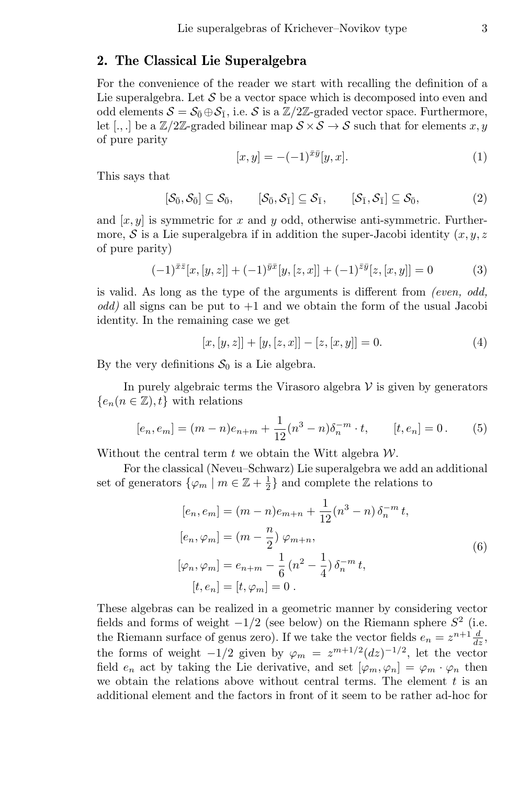## 2. The Classical Lie Superalgebra

For the convenience of the reader we start with recalling the definition of a Lie superalgebra. Let  $\mathcal S$  be a vector space which is decomposed into even and odd elements  $S = S_0 \oplus S_1$ , i.e. S is a  $\mathbb{Z}/2\mathbb{Z}$ -graded vector space. Furthermore, let [...] be a  $\mathbb{Z}/2\mathbb{Z}$ -graded bilinear map  $S \times S \to S$  such that for elements x, y of pure parity

$$
[x, y] = -(-1)^{\bar{x}\bar{y}}[y, x]. \tag{1}
$$

This says that

$$
[\mathcal{S}_{\bar{0}}, \mathcal{S}_{\bar{0}}] \subseteq \mathcal{S}_{\bar{0}}, \qquad [\mathcal{S}_{\bar{0}}, \mathcal{S}_{\bar{1}}] \subseteq \mathcal{S}_{\bar{1}}, \qquad [\mathcal{S}_{\bar{1}}, \mathcal{S}_{\bar{1}}] \subseteq \mathcal{S}_{\bar{0}}, \qquad (2)
$$

and  $[x, y]$  is symmetric for x and y odd, otherwise anti-symmetric. Furthermore, S is a Lie superalgebra if in addition the super-Jacobi identity  $(x, y, z)$ of pure parity)

$$
(-1)^{\bar{x}\bar{z}}[x,[y,z]] + (-1)^{\bar{y}\bar{x}}[y,[z,x]] + (-1)^{\bar{z}\bar{y}}[z,[x,y]] = 0 \tag{3}
$$

is valid. As long as the type of the arguments is different from (even, odd,  $odd)$  all signs can be put to  $+1$  and we obtain the form of the usual Jacobi identity. In the remaining case we get

$$
[x, [y, z]] + [y, [z, x]] - [z, [x, y]] = 0.
$$
\n<sup>(4)</sup>

By the very definitions  $S_0$  is a Lie algebra.

In purely algebraic terms the Virasoro algebra  $V$  is given by generators  ${e_n(n \in \mathbb{Z}), t}$  with relations

$$
[e_n, e_m] = (m - n)e_{n+m} + \frac{1}{12}(n^3 - n)\delta_n^{-m} \cdot t, \qquad [t, e_n] = 0. \tag{5}
$$

Without the central term  $t$  we obtain the Witt algebra  $W$ .

For the classical (Neveu–Schwarz) Lie superalgebra we add an additional set of generators  $\{\varphi_m \mid m \in \mathbb{Z} + \frac{1}{2}\}$  and complete the relations to

$$
[e_n, e_m] = (m - n)e_{m+n} + \frac{1}{12}(n^3 - n)\,\delta_n^{-m} t,
$$
  
\n
$$
[e_n, \varphi_m] = (m - \frac{n}{2})\,\varphi_{m+n},
$$
  
\n
$$
[\varphi_n, \varphi_m] = e_{n+m} - \frac{1}{6}(n^2 - \frac{1}{4})\,\delta_n^{-m} t,
$$
  
\n
$$
[t, e_n] = [t, \varphi_m] = 0.
$$
\n(6)

These algebras can be realized in a geometric manner by considering vector fields and forms of weight  $-1/2$  (see below) on the Riemann sphere  $S^2$  (i.e. the Riemann surface of genus zero). If we take the vector fields  $e_n = z^{n+1} \frac{d}{dz}$ , the forms of weight  $-1/2$  given by  $\varphi_m = z^{m+1/2} (dz)^{-1/2}$ , let the vector field  $e_n$  act by taking the Lie derivative, and set  $[\varphi_m, \varphi_n] = \varphi_m \cdot \varphi_n$  then we obtain the relations above without central terms. The element  $t$  is an additional element and the factors in front of it seem to be rather ad-hoc for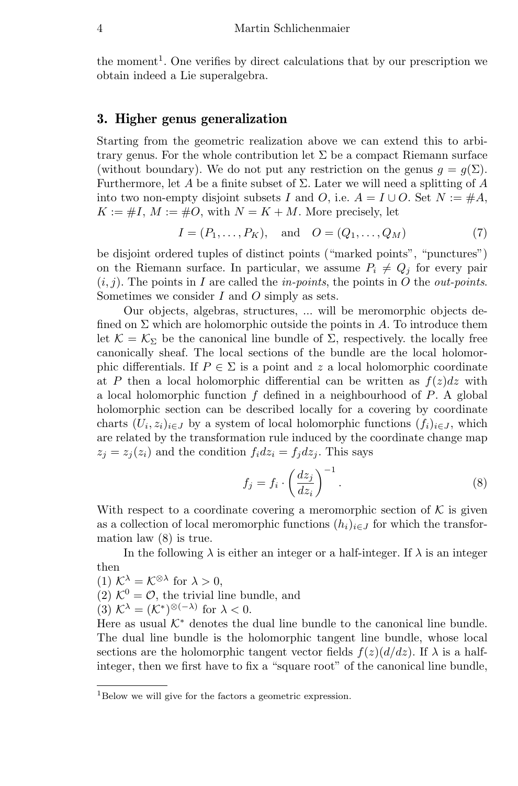the moment<sup>1</sup>. One verifies by direct calculations that by our prescription we obtain indeed a Lie superalgebra.

## 3. Higher genus generalization

Starting from the geometric realization above we can extend this to arbitrary genus. For the whole contribution let  $\Sigma$  be a compact Riemann surface (without boundary). We do not put any restriction on the genus  $q = q(\Sigma)$ . Furthermore, let A be a finite subset of  $\Sigma$ . Later we will need a splitting of A into two non-empty disjoint subsets I and O, i.e.  $A = I \cup O$ . Set  $N := \#A$ ,  $K := \#I, M := \#O$ , with  $N = K + M$ . More precisely, let

$$
I = (P_1, ..., P_K), \text{ and } O = (Q_1, ..., Q_M)
$$
 (7)

be disjoint ordered tuples of distinct points ("marked points", "punctures") on the Riemann surface. In particular, we assume  $P_i \neq Q_j$  for every pair  $(i, j)$ . The points in I are called the *in-points*, the points in O the *out-points*. Sometimes we consider I and O simply as sets.

Our objects, algebras, structures, ... will be meromorphic objects defined on  $\Sigma$  which are holomorphic outside the points in A. To introduce them let  $\mathcal{K} = \mathcal{K}_{\Sigma}$  be the canonical line bundle of  $\Sigma$ , respectively. the locally free canonically sheaf. The local sections of the bundle are the local holomorphic differentials. If  $P \in \Sigma$  is a point and z a local holomorphic coordinate at P then a local holomorphic differential can be written as  $f(z)dz$  with a local holomorphic function  $f$  defined in a neighbourhood of  $P$ . A global holomorphic section can be described locally for a covering by coordinate charts  $(U_i, z_i)_{i \in J}$  by a system of local holomorphic functions  $(f_i)_{i \in J}$ , which are related by the transformation rule induced by the coordinate change map  $z_i = z_i(z_i)$  and the condition  $f_i dz_i = f_j dz_j$ . This says

$$
f_j = f_i \cdot \left(\frac{dz_j}{dz_i}\right)^{-1}.\tag{8}
$$

With respect to a coordinate covering a meromorphic section of  $K$  is given as a collection of local meromorphic functions  $(h_i)_{i\in J}$  for which the transformation law (8) is true.

In the following  $\lambda$  is either an integer or a half-integer. If  $\lambda$  is an integer then

(1)  $K^{\lambda} = K^{\otimes \lambda}$  for  $\lambda > 0$ ,

(2)  $K^0 = \mathcal{O}$ , the trivial line bundle, and

(3)  $\mathcal{K}^{\lambda} = (\mathcal{K}^*)^{\otimes (-\lambda)}$  for  $\lambda < 0$ .

Here as usual  $K^*$  denotes the dual line bundle to the canonical line bundle. The dual line bundle is the holomorphic tangent line bundle, whose local sections are the holomorphic tangent vector fields  $f(z)(d/dz)$ . If  $\lambda$  is a halfinteger, then we first have to fix a "square root" of the canonical line bundle,

<sup>1</sup>Below we will give for the factors a geometric expression.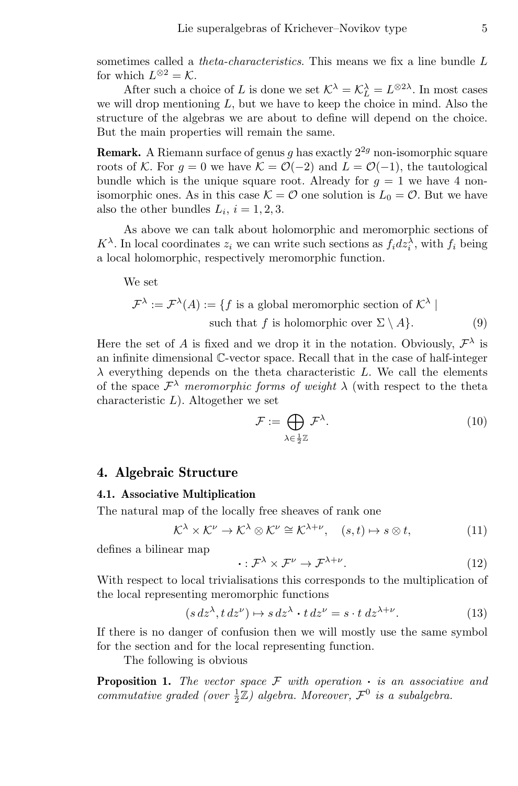sometimes called a *theta-characteristics*. This means we fix a line bundle L for which  $L^{\otimes 2} = \mathcal{K}$ .

After such a choice of L is done we set  $K^{\lambda} = K^{\lambda}_{L} = L^{\otimes 2\lambda}$ . In most cases we will drop mentioning  $L$ , but we have to keep the choice in mind. Also the structure of the algebras we are about to define will depend on the choice. But the main properties will remain the same.

**Remark.** A Riemann surface of genus g has exactly  $2^{2g}$  non-isomorphic square roots of K. For  $g = 0$  we have  $K = \mathcal{O}(-2)$  and  $L = \mathcal{O}(-1)$ , the tautological bundle which is the unique square root. Already for  $g = 1$  we have 4 nonisomorphic ones. As in this case  $\mathcal{K} = \mathcal{O}$  one solution is  $L_0 = \mathcal{O}$ . But we have also the other bundles  $L_i$ ,  $i = 1, 2, 3$ .

As above we can talk about holomorphic and meromorphic sections of  $K^{\lambda}$ . In local coordinates  $z_i$  we can write such sections as  $f_i dz_i^{\lambda}$ , with  $f_i$  being a local holomorphic, respectively meromorphic function.

We set

$$
\mathcal{F}^{\lambda} := \mathcal{F}^{\lambda}(A) := \{ f \text{ is a global meromorphic section of } \mathcal{K}^{\lambda} \mid \text{such that } f \text{ is holomorphic over } \Sigma \setminus A \}. \tag{9}
$$

Here the set of A is fixed and we drop it in the notation. Obviously,  $\mathcal{F}^{\lambda}$  is an infinite dimensional C-vector space. Recall that in the case of half-integer  $\lambda$  everything depends on the theta characteristic L. We call the elements of the space  $\mathcal{F}^{\lambda}$  meromorphic forms of weight  $\lambda$  (with respect to the theta characteristic  $L$ ). Altogether we set

$$
\mathcal{F} := \bigoplus_{\lambda \in \frac{1}{2}\mathbb{Z}} \mathcal{F}^{\lambda}.
$$
 (10)

## 4. Algebraic Structure

#### 4.1. Associative Multiplication

The natural map of the locally free sheaves of rank one

$$
\mathcal{K}^{\lambda} \times \mathcal{K}^{\nu} \to \mathcal{K}^{\lambda} \otimes \mathcal{K}^{\nu} \cong \mathcal{K}^{\lambda+\nu}, \quad (s,t) \mapsto s \otimes t, \tag{11}
$$

defines a bilinear map

$$
\cdot : \mathcal{F}^{\lambda} \times \mathcal{F}^{\nu} \to \mathcal{F}^{\lambda+\nu}.
$$
 (12)

With respect to local trivialisations this corresponds to the multiplication of the local representing meromorphic functions

$$
(s\,dz^{\lambda}, t\,dz^{\nu}) \mapsto s\,dz^{\lambda} \cdot t\,dz^{\nu} = s \cdot t\,dz^{\lambda+\nu}.\tag{13}
$$

If there is no danger of confusion then we will mostly use the same symbol for the section and for the local representing function.

The following is obvious

**Proposition 1.** The vector space  $\mathcal F$  with operation  $\cdot$  is an associative and commutative graded (over  $\frac{1}{2}\mathbb{Z}$ ) algebra. Moreover,  $\mathcal{F}^0$  is a subalgebra.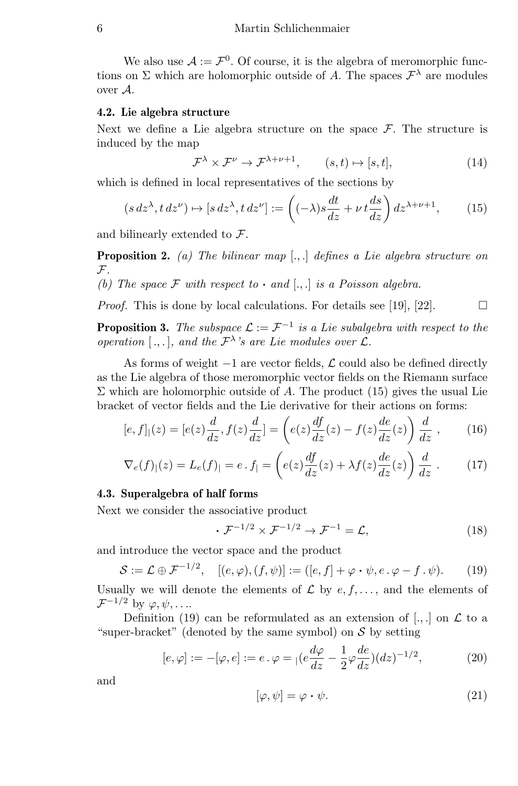We also use  $A := \mathcal{F}^0$ . Of course, it is the algebra of meromorphic functions on  $\Sigma$  which are holomorphic outside of A. The spaces  $\mathcal{F}^{\lambda}$  are modules over A.

## 4.2. Lie algebra structure

Next we define a Lie algebra structure on the space  $\mathcal F$ . The structure is induced by the map

$$
\mathcal{F}^{\lambda} \times \mathcal{F}^{\nu} \to \mathcal{F}^{\lambda+\nu+1}, \qquad (s,t) \mapsto [s,t], \tag{14}
$$

which is defined in local representatives of the sections by

$$
(s\,dz^{\lambda}, t\,dz^{\nu}) \mapsto [s\,dz^{\lambda}, t\,dz^{\nu}] := \left((-\lambda)s\frac{dt}{dz} + \nu\,t\frac{ds}{dz}\right)dz^{\lambda+\nu+1},\tag{15}
$$

and bilinearly extended to F.

**Proposition 2.** (a) The bilinear map  $[.,.]$  defines a Lie algebra structure on  $\mathcal{F}$ .

(b) The space  $\mathcal F$  with respect to  $\cdot$  and  $[.,.]$  is a Poisson algebra.

*Proof.* This is done by local calculations. For details see [19], [22].  $\Box$ 

**Proposition 3.** The subspace  $\mathcal{L} := \mathcal{F}^{-1}$  is a Lie subalgebra with respect to the operation [...], and the  $\mathcal{F}^{\lambda}$ 's are Lie modules over  $\mathcal{L}$ .

As forms of weight  $-1$  are vector fields,  $\mathcal L$  could also be defined directly as the Lie algebra of those meromorphic vector fields on the Riemann surface  $\Sigma$  which are holomorphic outside of A. The product (15) gives the usual Lie bracket of vector fields and the Lie derivative for their actions on forms:

$$
[e, f]_1(z) = [e(z)\frac{d}{dz}, f(z)\frac{d}{dz}] = \left(e(z)\frac{df}{dz}(z) - f(z)\frac{de}{dz}(z)\right)\frac{d}{dz},\qquad(16)
$$

$$
\nabla_e(f)|(z) = L_e(f)| = e \cdot f| = \left(e(z)\frac{df}{dz}(z) + \lambda f(z)\frac{de}{dz}(z)\right)\frac{d}{dz}.
$$
 (17)

### 4.3. Superalgebra of half forms

Next we consider the associative product

$$
\cdot \mathcal{F}^{-1/2} \times \mathcal{F}^{-1/2} \to \mathcal{F}^{-1} = \mathcal{L},\tag{18}
$$

and introduce the vector space and the product

$$
\mathcal{S} := \mathcal{L} \oplus \mathcal{F}^{-1/2}, \quad [(e, \varphi), (f, \psi)] := ([e, f] + \varphi \cdot \psi, e \cdot \varphi - f \cdot \psi). \tag{19}
$$

Usually we will denote the elements of  $\mathcal L$  by  $e, f, \ldots$ , and the elements of  $\mathcal{F}^{-1/2}$  by  $\varphi, \psi, \ldots$ 

Definition (19) can be reformulated as an extension of  $[.,.]$  on  $\mathcal L$  to a "super-bracket" (denoted by the same symbol) on  $\mathcal S$  by setting

$$
[e,\varphi] := -[\varphi,e] := e \cdot \varphi = |(e\frac{d\varphi}{dz} - \frac{1}{2}\varphi\frac{de}{dz})(dz)^{-1/2},\tag{20}
$$

and

$$
[\varphi, \psi] = \varphi \cdot \psi. \tag{21}
$$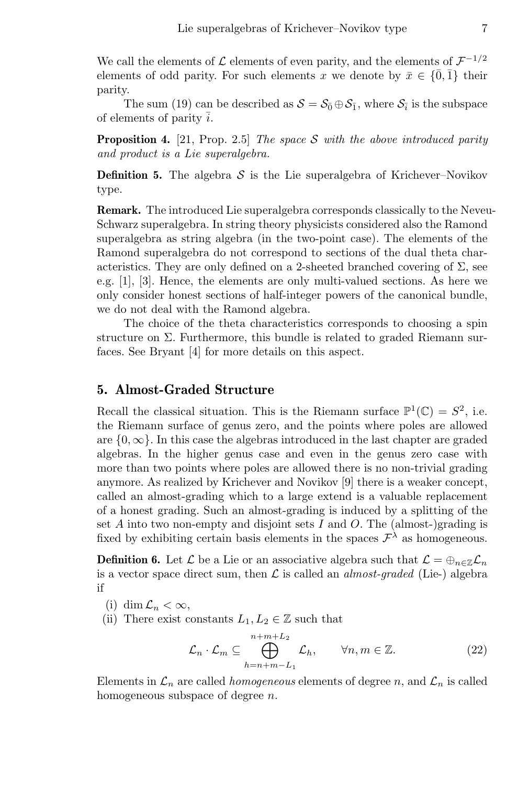We call the elements of  $\mathcal L$  elements of even parity, and the elements of  $\mathcal F^{-1/2}$ elements of odd parity. For such elements x we denote by  $\bar{x} \in \{\bar{0}, \bar{1}\}\$  their parity.

The sum (19) can be described as  $S = S_{\bar{0}} \oplus S_{\bar{1}}$ , where  $S_{\bar{i}}$  is the subspace of elements of parity  $\overline{i}$ .

**Proposition 4.** [21, Prop. 2.5] The space S with the above introduced parity and product is a Lie superalgebra.

**Definition 5.** The algebra  $S$  is the Lie superalgebra of Krichever–Novikov type.

Remark. The introduced Lie superalgebra corresponds classically to the Neveu-Schwarz superalgebra. In string theory physicists considered also the Ramond superalgebra as string algebra (in the two-point case). The elements of the Ramond superalgebra do not correspond to sections of the dual theta characteristics. They are only defined on a 2-sheeted branched covering of  $\Sigma$ , see e.g. [1], [3]. Hence, the elements are only multi-valued sections. As here we only consider honest sections of half-integer powers of the canonical bundle, we do not deal with the Ramond algebra.

The choice of the theta characteristics corresponds to choosing a spin structure on  $\Sigma$ . Furthermore, this bundle is related to graded Riemann surfaces. See Bryant [4] for more details on this aspect.

## 5. Almost-Graded Structure

Recall the classical situation. This is the Riemann surface  $\mathbb{P}^1(\mathbb{C}) = S^2$ , i.e. the Riemann surface of genus zero, and the points where poles are allowed are  ${0, \infty}$ . In this case the algebras introduced in the last chapter are graded algebras. In the higher genus case and even in the genus zero case with more than two points where poles are allowed there is no non-trivial grading anymore. As realized by Krichever and Novikov [9] there is a weaker concept, called an almost-grading which to a large extend is a valuable replacement of a honest grading. Such an almost-grading is induced by a splitting of the set  $A$  into two non-empty and disjoint sets  $I$  and  $O$ . The (almost-)grading is fixed by exhibiting certain basis elements in the spaces  $\mathcal{F}^{\lambda}$  as homogeneous.

**Definition 6.** Let  $\mathcal{L}$  be a Lie or an associative algebra such that  $\mathcal{L} = \bigoplus_{n \in \mathbb{Z}} \mathcal{L}_n$ is a vector space direct sum, then  $\mathcal L$  is called an *almost-graded* (Lie-) algebra if

- (i) dim  $\mathcal{L}_n < \infty$ ,
- (ii) There exist constants  $L_1, L_2 \in \mathbb{Z}$  such that

$$
\mathcal{L}_n \cdot \mathcal{L}_m \subseteq \bigoplus_{h=n+m-L_1}^{n+m+L_2} \mathcal{L}_h, \qquad \forall n, m \in \mathbb{Z}.
$$
 (22)

Elements in  $\mathcal{L}_n$  are called *homogeneous* elements of degree n, and  $\mathcal{L}_n$  is called homogeneous subspace of degree n.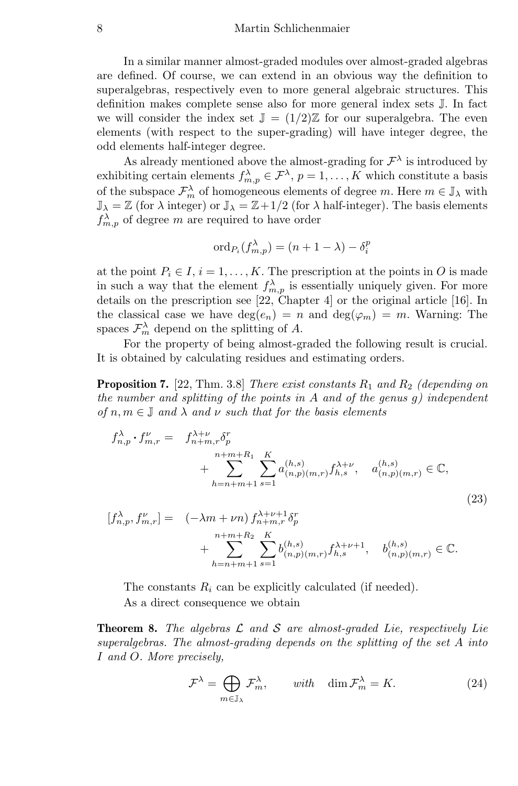#### 8 Martin Schlichenmaier

In a similar manner almost-graded modules over almost-graded algebras are defined. Of course, we can extend in an obvious way the definition to superalgebras, respectively even to more general algebraic structures. This definition makes complete sense also for more general index sets J. In fact we will consider the index set  $\mathbb{J} = (1/2)\mathbb{Z}$  for our superalgebra. The even elements (with respect to the super-grading) will have integer degree, the odd elements half-integer degree.

As already mentioned above the almost-grading for  $\mathcal{F}^{\lambda}$  is introduced by exhibiting certain elements  $f_{m,p}^{\lambda} \in \mathcal{F}^{\lambda}, p = 1, \ldots, K$  which constitute a basis of the subspace  $\mathcal{F}_m^{\lambda}$  of homogeneous elements of degree m. Here  $m \in \mathbb{J}_{\lambda}$  with  $\mathbb{J}_{\lambda} = \mathbb{Z}$  (for  $\lambda$  integer) or  $\mathbb{J}_{\lambda} = \mathbb{Z} + 1/2$  (for  $\lambda$  half-integer). The basis elements  $f_{m,p}^{\lambda}$  of degree m are required to have order

$$
\mathrm{ord}_{P_i}(f^\lambda_{m,p}) = (n+1-\lambda) - \delta^p_i
$$

at the point  $P_i \in I$ ,  $i = 1, ..., K$ . The prescription at the points in O is made in such a way that the element  $f_{m,p}^{\lambda}$  is essentially uniquely given. For more details on the prescription see [22, Chapter 4] or the original article [16]. In the classical case we have  $deg(e_n) = n$  and  $deg(\varphi_m) = m$ . Warning: The spaces  $\mathcal{F}_m^{\lambda}$  depend on the splitting of A.

For the property of being almost-graded the following result is crucial. It is obtained by calculating residues and estimating orders.

**Proposition 7.** [22, Thm. 3.8] There exist constants  $R_1$  and  $R_2$  (depending on the number and splitting of the points in  $A$  and of the genus g) independent of  $n, m \in \mathbb{J}$  and  $\lambda$  and  $\nu$  such that for the basis elements

$$
f_{n,p}^{\lambda} \cdot f_{m,r}^{\nu} = f_{n+m,r}^{\lambda+\nu} \delta_p^r
$$
  
+ 
$$
\sum_{h=n+m+1}^{n+m+R_1} \sum_{s=1}^{K} a_{(n,p)(m,r)}^{(h,s)} f_{h,s}^{\lambda+\nu}, \quad a_{(n,p)(m,r)}^{(h,s)} \in \mathbb{C},
$$
  

$$
f^{\lambda} \quad f^{\nu} \quad | - (-\lambda m + \nu m) f^{\lambda+\nu+1} \delta^r
$$
 (23)

$$
[f_{n,p}^{\lambda}, f_{m,r}^{\nu}] = (-\lambda m + \nu n) f_{n+m,r}^{\lambda + \nu + 1} \delta_p^r
$$
  
+ 
$$
\sum_{h=n+m+1}^{n+m+R_2} \sum_{s=1}^{K} b_{(n,p)(m,r)}^{(h,s)} f_{h,s}^{\lambda + \nu + 1}, \quad b_{(n,p)(m,r)}^{(h,s)} \in \mathbb{C}.
$$

The constants  $R_i$  can be explicitly calculated (if needed). As a direct consequence we obtain

**Theorem 8.** The algebras  $\mathcal L$  and  $\mathcal S$  are almost-graded Lie, respectively Lie superalgebras. The almost-grading depends on the splitting of the set A into I and O. More precisely,

$$
\mathcal{F}^{\lambda} = \bigoplus_{m \in \mathbb{J}_{\lambda}} \mathcal{F}^{\lambda}_{m}, \qquad \text{with} \quad \dim \mathcal{F}^{\lambda}_{m} = K. \tag{24}
$$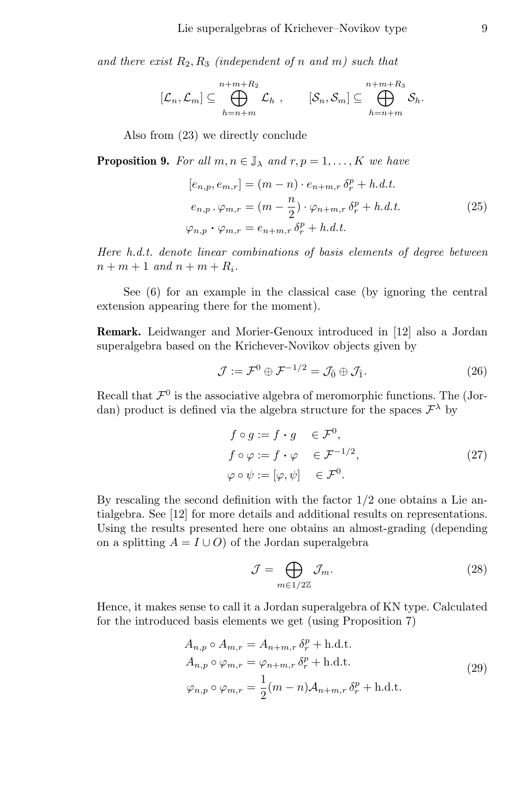and there exist  $R_2, R_3$  (independent of n and m) such that

$$
[\mathcal{L}_n,\mathcal{L}_m]\subseteq\bigoplus_{h=n+m}^{n+m+R_2}\mathcal{L}_h\ ,\qquad [\mathcal{S}_n,\mathcal{S}_m]\subseteq\bigoplus_{h=n+m}^{n+m+R_3}\mathcal{S}_h.
$$

Also from (23) we directly conclude

**Proposition 9.** For all  $m, n \in \mathbb{J}_{\lambda}$  and  $r, p = 1, \dots, K$  we have

$$
[e_{n,p}, e_{m,r}] = (m - n) \cdot e_{n+m,r} \delta_r^p + h.d.t.
$$
  
\n
$$
e_{n,p} \cdot \varphi_{m,r} = (m - \frac{n}{2}) \cdot \varphi_{n+m,r} \delta_r^p + h.d.t.
$$
  
\n
$$
\varphi_{n,p} \cdot \varphi_{m,r} = e_{n+m,r} \delta_r^p + h.d.t.
$$
\n(25)

Here h.d.t. denote linear combinations of basis elements of degree between  $n + m + 1$  and  $n + m + R_i$ .

See (6) for an example in the classical case (by ignoring the central extension appearing there for the moment).

Remark. Leidwanger and Morier-Genoux introduced in [12] also a Jordan superalgebra based on the Krichever-Novikov objects given by

$$
\mathcal{J} := \mathcal{F}^0 \oplus \mathcal{F}^{-1/2} = \mathcal{J}_{\bar{0}} \oplus \mathcal{J}_{\bar{1}}.
$$
 (26)

Recall that  $\mathcal{F}^0$  is the associative algebra of meromorphic functions. The (Jordan) product is defined via the algebra structure for the spaces  $\mathcal{F}^{\lambda}$  by

$$
f \circ g := f \cdot g \in \mathcal{F}^0,
$$
  
\n
$$
f \circ \varphi := f \cdot \varphi \in \mathcal{F}^{-1/2},
$$
  
\n
$$
\varphi \circ \psi := [\varphi, \psi] \in \mathcal{F}^0.
$$
\n(27)

By rescaling the second definition with the factor  $1/2$  one obtains a Lie antialgebra. See [12] for more details and additional results on representations. Using the results presented here one obtains an almost-grading (depending on a splitting  $A = I \cup O$  of the Jordan superalgebra

$$
\mathcal{J} = \bigoplus_{m \in 1/2\mathbb{Z}} \mathcal{J}_m. \tag{28}
$$

Hence, it makes sense to call it a Jordan superalgebra of KN type. Calculated for the introduced basis elements we get (using Proposition 7)

$$
A_{n,p} \circ A_{m,r} = A_{n+m,r} \, \delta_r^p + \text{h.d.t.}
$$
  
\n
$$
A_{n,p} \circ \varphi_{m,r} = \varphi_{n+m,r} \, \delta_r^p + \text{h.d.t.}
$$
  
\n
$$
\varphi_{n,p} \circ \varphi_{m,r} = \frac{1}{2} (m-n) A_{n+m,r} \, \delta_r^p + \text{h.d.t.}
$$
\n(29)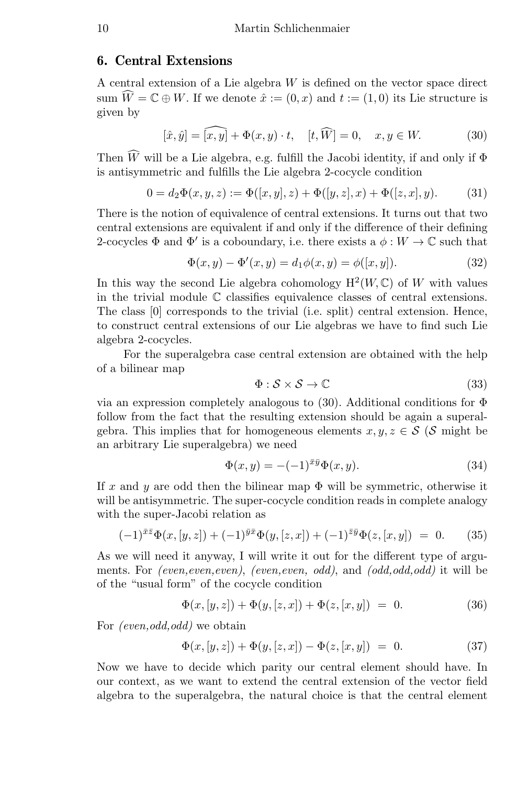# 6. Central Extensions

A central extension of a Lie algebra W is defined on the vector space direct sum  $\widehat{W} = \mathbb{C} \oplus W$ . If we denote  $\hat{x} := (0, x)$  and  $t := (1, 0)$  its Lie structure is given by

$$
[\hat{x}, \hat{y}] = \widehat{[x, y]} + \Phi(x, y) \cdot t, \quad [t, \widehat{W}] = 0, \quad x, y \in W.
$$
 (30)

Then  $\widehat{W}$  will be a Lie algebra, e.g. fulfill the Jacobi identity, if and only if  $\Phi$ is antisymmetric and fulfills the Lie algebra 2-cocycle condition

$$
0 = d_2\Phi(x, y, z) := \Phi([x, y], z) + \Phi([y, z], x) + \Phi([z, x], y).
$$
 (31)

There is the notion of equivalence of central extensions. It turns out that two central extensions are equivalent if and only if the difference of their defining 2-cocycles  $\Phi$  and  $\Phi'$  is a coboundary, i.e. there exists a  $\phi: W \to \mathbb{C}$  such that

$$
\Phi(x, y) - \Phi'(x, y) = d_1 \phi(x, y) = \phi([x, y]).
$$
\n(32)

In this way the second Lie algebra cohomology  $H^2(W, \mathbb{C})$  of W with values in the trivial module C classifies equivalence classes of central extensions. The class [0] corresponds to the trivial (i.e. split) central extension. Hence, to construct central extensions of our Lie algebras we have to find such Lie algebra 2-cocycles.

For the superalgebra case central extension are obtained with the help of a bilinear map

$$
\Phi: \mathcal{S} \times \mathcal{S} \to \mathbb{C} \tag{33}
$$

via an expression completely analogous to (30). Additional conditions for  $\Phi$ follow from the fact that the resulting extension should be again a superalgebra. This implies that for homogeneous elements  $x, y, z \in S$  (S might be an arbitrary Lie superalgebra) we need

$$
\Phi(x,y) = -(-1)^{\bar{x}\bar{y}}\Phi(x,y). \tag{34}
$$

If x and y are odd then the bilinear map  $\Phi$  will be symmetric, otherwise it will be antisymmetric. The super-cocycle condition reads in complete analogy with the super-Jacobi relation as

$$
(-1)^{\bar{x}\bar{z}}\Phi(x,[y,z]) + (-1)^{\bar{y}\bar{x}}\Phi(y,[z,x]) + (-1)^{\bar{z}\bar{y}}\Phi(z,[x,y]) = 0.
$$
 (35)

As we will need it anyway, I will write it out for the different type of arguments. For (even, even, even), (even, even, odd), and (odd, odd, odd) it will be of the "usual form" of the cocycle condition

$$
\Phi(x, [y, z]) + \Phi(y, [z, x]) + \Phi(z, [x, y]) = 0.
$$
\n(36)

For *(even,odd,odd)* we obtain

$$
\Phi(x, [y, z]) + \Phi(y, [z, x]) - \Phi(z, [x, y]) = 0.
$$
\n(37)

Now we have to decide which parity our central element should have. In our context, as we want to extend the central extension of the vector field algebra to the superalgebra, the natural choice is that the central element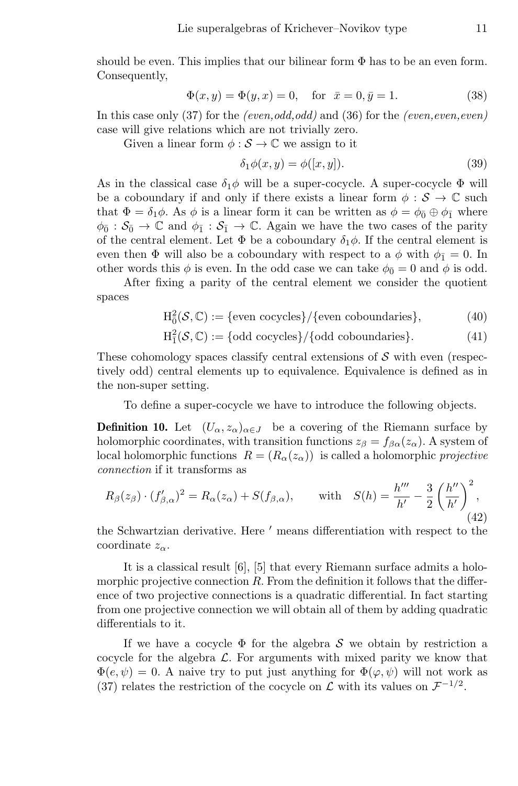should be even. This implies that our bilinear form  $\Phi$  has to be an even form. Consequently,

$$
\Phi(x, y) = \Phi(y, x) = 0, \quad \text{for } \ \bar{x} = 0, \bar{y} = 1.
$$
 (38)

In this case only  $(37)$  for the *(even,odd,odd)* and  $(36)$  for the *(even,even,even)* case will give relations which are not trivially zero.

Given a linear form  $\phi : \mathcal{S} \to \mathbb{C}$  we assign to it

$$
\delta_1 \phi(x, y) = \phi([x, y]). \tag{39}
$$

As in the classical case  $\delta_1 \phi$  will be a super-cocycle. A super-cocycle  $\Phi$  will be a coboundary if and only if there exists a linear form  $\phi : \mathcal{S} \to \mathbb{C}$  such that  $\Phi = \delta_1 \phi$ . As  $\phi$  is a linear form it can be written as  $\phi = \phi_0 \oplus \phi_1$  where  $\phi_{\bar{0}} : S_{\bar{0}} \to \mathbb{C}$  and  $\phi_{\bar{1}} : S_{\bar{1}} \to \mathbb{C}$ . Again we have the two cases of the parity of the central element. Let  $\Phi$  be a coboundary  $\delta_1\phi$ . If the central element is even then  $\Phi$  will also be a coboundary with respect to a  $\phi$  with  $\phi_{\bar{1}} = 0$ . In other words this  $\phi$  is even. In the odd case we can take  $\phi_{\bar{0}} = 0$  and  $\phi$  is odd.

After fixing a parity of the central element we consider the quotient spaces

$$
H_0^2(\mathcal{S}, \mathbb{C}) := \{ \text{even cocycles} \} / \{ \text{even coboundaries} \}, \tag{40}
$$

$$
H_1^2(\mathcal{S}, \mathbb{C}) := \{odd \text{ cocycles}\} / \{odd \text{ coboundaries}\}.
$$
 (41)

These cohomology spaces classify central extensions of  $\mathcal S$  with even (respectively odd) central elements up to equivalence. Equivalence is defined as in the non-super setting.

To define a super-cocycle we have to introduce the following objects.

**Definition 10.** Let  $(U_{\alpha}, z_{\alpha})_{\alpha \in J}$  be a covering of the Riemann surface by holomorphic coordinates, with transition functions  $z_{\beta} = f_{\beta \alpha}(z_{\alpha})$ . A system of local holomorphic functions  $R = (R_{\alpha}(z_{\alpha}))$  is called a holomorphic projective connection if it transforms as

$$
R_{\beta}(z_{\beta}) \cdot (f'_{\beta,\alpha})^2 = R_{\alpha}(z_{\alpha}) + S(f_{\beta,\alpha}), \quad \text{with} \quad S(h) = \frac{h'''}{h'} - \frac{3}{2} \left(\frac{h''}{h'}\right)^2,
$$
\n(42)

the Schwartzian derivative. Here  $'$  means differentiation with respect to the coordinate  $z_\alpha$ .

It is a classical result [6], [5] that every Riemann surface admits a holomorphic projective connection R. From the definition it follows that the difference of two projective connections is a quadratic differential. In fact starting from one projective connection we will obtain all of them by adding quadratic differentials to it.

If we have a cocycle  $\Phi$  for the algebra S we obtain by restriction a cocycle for the algebra  $\mathcal{L}$ . For arguments with mixed parity we know that  $\Phi(e, \psi) = 0$ . A naive try to put just anything for  $\Phi(\varphi, \psi)$  will not work as (37) relates the restriction of the cocycle on  $\mathcal L$  with its values on  $\mathcal F^{-1/2}$ .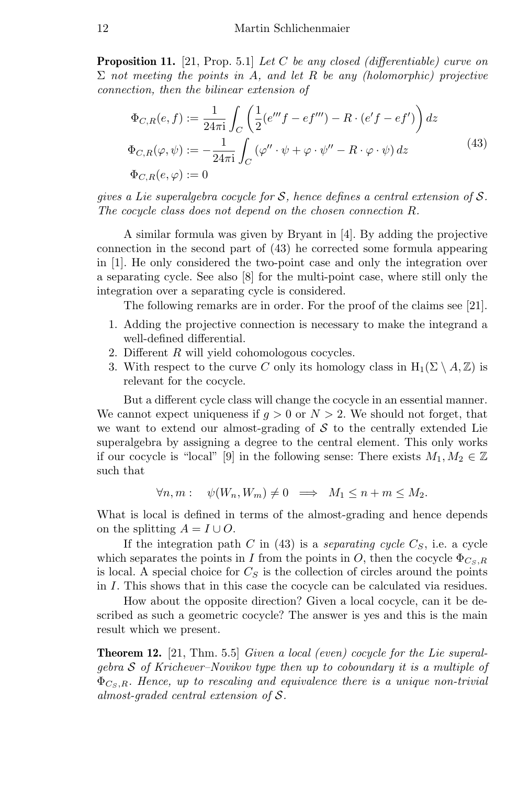**Proposition 11.** [21, Prop. 5.1] Let C be any closed (differentiable) curve on  $\Sigma$  not meeting the points in A, and let R be any (holomorphic) projective connection, then the bilinear extension of

$$
\Phi_{C,R}(e,f) := \frac{1}{24\pi i} \int_C \left( \frac{1}{2} (e'''f - ef''') - R \cdot (e'f - ef') \right) dz
$$
  
\n
$$
\Phi_{C,R}(\varphi, \psi) := -\frac{1}{24\pi i} \int_C (\varphi'' \cdot \psi + \varphi \cdot \psi'' - R \cdot \varphi \cdot \psi) dz
$$
\n
$$
\Phi_{C,R}(e,\varphi) := 0
$$
\n(43)

gives a Lie superalgebra cocycle for S, hence defines a central extension of S. The cocycle class does not depend on the chosen connection R.

A similar formula was given by Bryant in [4]. By adding the projective connection in the second part of (43) he corrected some formula appearing in [1]. He only considered the two-point case and only the integration over a separating cycle. See also [8] for the multi-point case, where still only the integration over a separating cycle is considered.

The following remarks are in order. For the proof of the claims see [21].

- 1. Adding the projective connection is necessary to make the integrand a well-defined differential.
- 2. Different R will yield cohomologous cocycles.
- 3. With respect to the curve C only its homology class in  $H_1(\Sigma \setminus A, \mathbb{Z})$  is relevant for the cocycle.

But a different cycle class will change the cocycle in an essential manner. We cannot expect uniqueness if  $q > 0$  or  $N > 2$ . We should not forget, that we want to extend our almost-grading of  $S$  to the centrally extended Lie superalgebra by assigning a degree to the central element. This only works if our cocycle is "local" [9] in the following sense: There exists  $M_1, M_2 \in \mathbb{Z}$ such that

$$
\forall n, m: \quad \psi(W_n, W_m) \neq 0 \implies M_1 \leq n + m \leq M_2.
$$

What is local is defined in terms of the almost-grading and hence depends on the splitting  $A = I \cup O$ .

If the integration path C in (43) is a *separating cycle*  $C_s$ , i.e. a cycle which separates the points in I from the points in O, then the cocycle  $\Phi_{C, s, R}$ is local. A special choice for  $C_S$  is the collection of circles around the points in I. This shows that in this case the cocycle can be calculated via residues.

How about the opposite direction? Given a local cocycle, can it be described as such a geometric cocycle? The answer is yes and this is the main result which we present.

**Theorem 12.** [21, Thm. 5.5] Given a local (even) cocycle for the Lie superalgebra  $S$  of Krichever–Novikov type then up to coboundary it is a multiple of  $\Phi_{\mathcal{C}_{\mathcal{S}},\mathbf{R}}$ . Hence, up to rescaling and equivalence there is a unique non-trivial almost-graded central extension of S.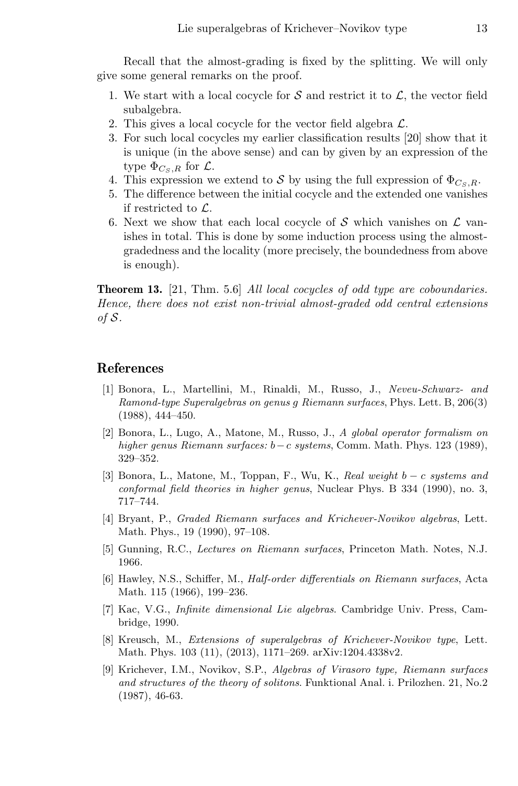Recall that the almost-grading is fixed by the splitting. We will only give some general remarks on the proof.

- 1. We start with a local cocycle for  $S$  and restrict it to  $\mathcal{L}$ , the vector field subalgebra.
- 2. This gives a local cocycle for the vector field algebra  $\mathcal{L}$ .
- 3. For such local cocycles my earlier classification results [20] show that it is unique (in the above sense) and can by given by an expression of the type  $\Phi_{C_{\infty},R}$  for  $\mathcal{L}$ .
- 4. This expression we extend to S by using the full expression of  $\Phi_{C\leq R}$ .
- 5. The difference between the initial cocycle and the extended one vanishes if restricted to L.
- 6. Next we show that each local cocycle of S which vanishes on  $\mathcal L$  vanishes in total. This is done by some induction process using the almostgradedness and the locality (more precisely, the boundedness from above is enough).

**Theorem 13.** [21, Thm. 5.6] All local cocycles of odd type are coboundaries. Hence, there does not exist non-trivial almost-graded odd central extensions of S.

## References

- [1] Bonora, L., Martellini, M., Rinaldi, M., Russo, J., Neveu-Schwarz- and Ramond-type Superalgebras on genus g Riemann surfaces, Phys. Lett. B, 206(3) (1988), 444–450.
- [2] Bonora, L., Lugo, A., Matone, M., Russo, J., A global operator formalism on higher genus Riemann surfaces: b−c systems, Comm. Math. Phys. 123 (1989), 329–352.
- [3] Bonora, L., Matone, M., Toppan, F., Wu, K., Real weight b − c systems and conformal field theories in higher genus, Nuclear Phys. B 334 (1990), no. 3, 717–744.
- [4] Bryant, P., Graded Riemann surfaces and Krichever-Novikov algebras, Lett. Math. Phys., 19 (1990), 97–108.
- [5] Gunning, R.C., Lectures on Riemann surfaces, Princeton Math. Notes, N.J. 1966.
- [6] Hawley, N.S., Schiffer, M., Half-order differentials on Riemann surfaces, Acta Math. 115 (1966), 199–236.
- [7] Kac, V.G., Infinite dimensional Lie algebras. Cambridge Univ. Press, Cambridge, 1990.
- [8] Kreusch, M., Extensions of superalgebras of Krichever-Novikov type, Lett. Math. Phys. 103 (11), (2013), 1171–269. arXiv:1204.4338v2.
- [9] Krichever, I.M., Novikov, S.P., Algebras of Virasoro type, Riemann surfaces and structures of the theory of solitons. Funktional Anal. i. Prilozhen. 21, No.2 (1987), 46-63.